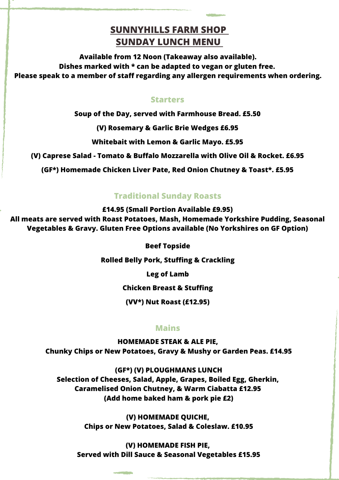# **SUNNYHILLS FARM SHOP SUNDAY LUNCH MENU**

**Available from 12 Noon (Takeaway also available). Dishes marked with \* can be adapted to vegan or gluten free. Please speak to a member of staff regarding any allergen requirements when ordering.**

## **Starters**

**Soup of the Day, served with Farmhouse Bread. £5.50**

**(V) Rosemary & Garlic Brie Wedges £6.95**

**Whitebait with Lemon & Garlic Mayo. £5.95**

**(V) Caprese Salad - Tomato & Buffalo Mozzarella with Olive Oil & Rocket. £6.95**

**(GF\*) Homemade Chicken Liver Pate, Red Onion Chutney & Toast\*. £5.95**

# **Traditional Sunday Roasts**

**£14.95 (Small Portion Available £9.95)**

**All meats are served with Roast Potatoes, Mash, Homemade Yorkshire Pudding, Seasonal Vegetables & Gravy. Gluten Free Options available (No Yorkshires on GF Option)**

**Beef Topside**

**Rolled Belly Pork, Stuffing & Crackling**

**Leg of Lamb**

**Chicken Breast & Stuffing**

**(VV\*) Nut Roast (£12.95)**

# **Mains**

**HOMEMADE STEAK & ALE PIE, Chunky Chips or New Potatoes, Gravy & Mushy or Garden Peas. £14.95**

**(GF\*) (V) PLOUGHMANS LUNCH Selection of Cheeses, Salad, Apple, Grapes, Boiled Egg, Gherkin, Caramelised Onion Chutney, & Warm Ciabatta £12.95 (Add home baked ham & pork pie £2)**

> **(V) HOMEMADE QUICHE, Chips or New Potatoes, Salad & Coleslaw. £10.95**

**(V) HOMEMADE FISH PIE, Served with Dill Sauce & Seasonal Vegetables £15.95**